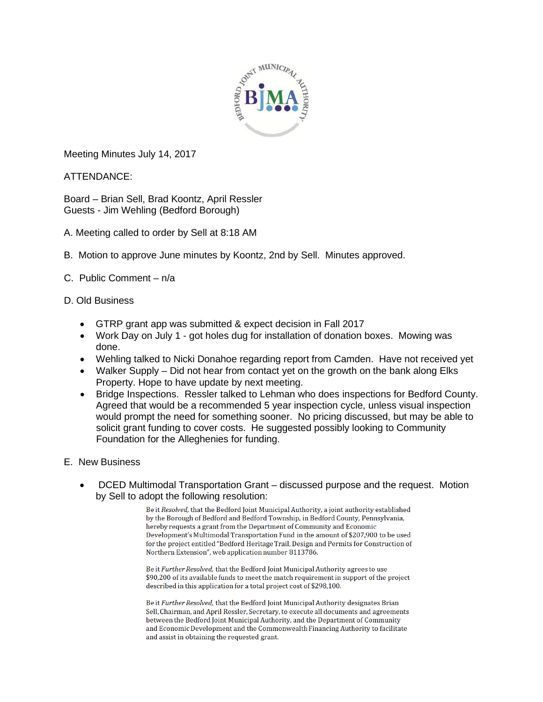

Meeting Minutes July 14, 2017

ATTENDANCE:

Board – Brian Sell, Brad Koontz, April Ressler Guests - Jim Wehling (Bedford Borough)

- A. Meeting called to order by Sell at 8:18 AM
- B. Motion to approve June minutes by Koontz, 2nd by Sell. Minutes approved.
- C. Public Comment n/a
- D. Old Business
	- GTRP grant app was submitted & expect decision in Fall 2017
	- Work Day on July 1 got holes dug for installation of donation boxes. Mowing was done.
	- Wehling talked to Nicki Donahoe regarding report from Camden. Have not received yet
	- Walker Supply Did not hear from contact yet on the growth on the bank along Elks Property. Hope to have update by next meeting.
	- Bridge Inspections. Ressler talked to Lehman who does inspections for Bedford County. Agreed that would be a recommended 5 year inspection cycle, unless visual inspection would prompt the need for something sooner. No pricing discussed, but may be able to solicit grant funding to cover costs. He suggested possibly looking to Community Foundation for the Alleghenies for funding.
- E. New Business
	- DCED Multimodal Transportation Grant discussed purpose and the request. Motion by Sell to adopt the following resolution:

Be it Resolved, that the Bedford Joint Municipal Authority, a joint authority established by the Borough of Bedford and Bedford Township, in Bedford County, Pennsylvania, hereby requests a grant from the Department of Community and Economic Development's Multimodal Transportation Fund in the amount of \$207,900 to be used for the project entitled "Bedford Heritage Trail, Design and Permits for Construction of Northern Extension", web application number 8113786.

Be it Further Resolved, that the Bedford Joint Municipal Authority agrees to use \$90,200 of its available funds to meet the match requirement in support of the project described in this application for a total project cost of \$298,100.

Be it Further Resolved, that the Bedford Joint Municipal Authority designates Brian Sell, Chairman, and April Ressler, Secretary, to execute all documents and agreements between the Bedford Joint Municipal Authority, and the Department of Community and Economic Development and the Commonwealth Financing Authority to facilitate and assist in obtaining the requested grant.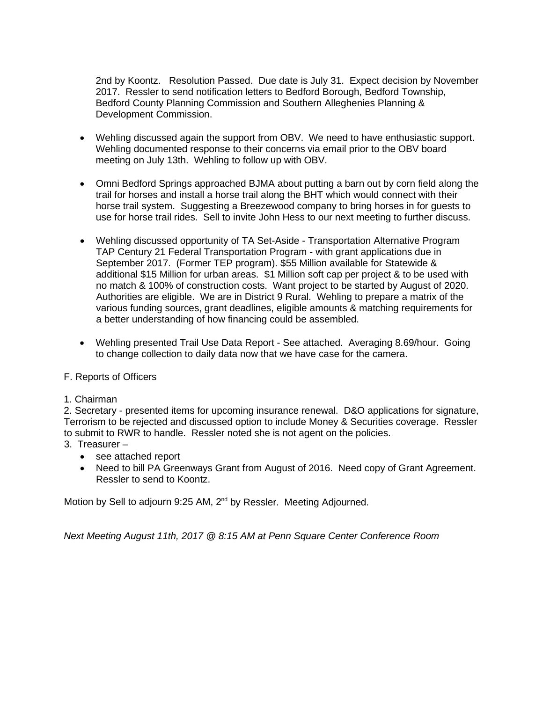2nd by Koontz. Resolution Passed. Due date is July 31. Expect decision by November 2017. Ressler to send notification letters to Bedford Borough, Bedford Township, Bedford County Planning Commission and Southern Alleghenies Planning & Development Commission.

- Wehling discussed again the support from OBV. We need to have enthusiastic support. Wehling documented response to their concerns via email prior to the OBV board meeting on July 13th. Wehling to follow up with OBV.
- Omni Bedford Springs approached BJMA about putting a barn out by corn field along the trail for horses and install a horse trail along the BHT which would connect with their horse trail system. Suggesting a Breezewood company to bring horses in for guests to use for horse trail rides. Sell to invite John Hess to our next meeting to further discuss.
- Wehling discussed opportunity of TA Set-Aside Transportation Alternative Program TAP Century 21 Federal Transportation Program - with grant applications due in September 2017. (Former TEP program). \$55 Million available for Statewide & additional \$15 Million for urban areas. \$1 Million soft cap per project & to be used with no match & 100% of construction costs. Want project to be started by August of 2020. Authorities are eligible. We are in District 9 Rural. Wehling to prepare a matrix of the various funding sources, grant deadlines, eligible amounts & matching requirements for a better understanding of how financing could be assembled.
- Wehling presented Trail Use Data Report See attached. Averaging 8.69/hour. Going to change collection to daily data now that we have case for the camera.

## F. Reports of Officers

## 1. Chairman

2. Secretary - presented items for upcoming insurance renewal. D&O applications for signature, Terrorism to be rejected and discussed option to include Money & Securities coverage. Ressler to submit to RWR to handle. Ressler noted she is not agent on the policies.

- 3. Treasurer
	- see attached report
	- Need to bill PA Greenways Grant from August of 2016. Need copy of Grant Agreement. Ressler to send to Koontz.

Motion by Sell to adjourn 9:25 AM, 2<sup>nd</sup> by Ressler. Meeting Adjourned.

*Next Meeting August 11th, 2017 @ 8:15 AM at Penn Square Center Conference Room*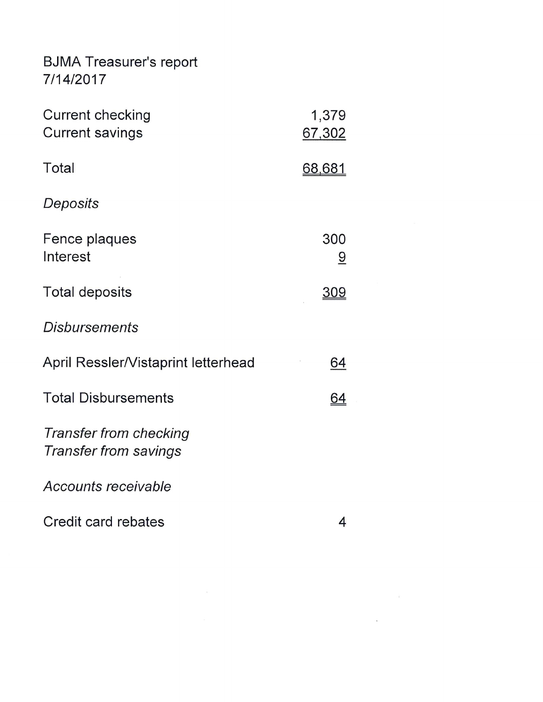## **BJMA Treasurer's report** 7/14/2017

| <b>Current checking</b><br><b>Current savings</b>      | 1,379<br>67,302       |
|--------------------------------------------------------|-----------------------|
| Total                                                  | <u>68,681</u>         |
| Deposits                                               |                       |
| Fence plaques<br>Interest                              | 300<br>$\overline{a}$ |
| <b>Total deposits</b>                                  | <u>309</u>            |
| <b>Disbursements</b>                                   |                       |
| April Ressler/Vistaprint letterhead                    | <u>64</u>             |
| <b>Total Disbursements</b>                             | <u>64</u>             |
| Transfer from checking<br><b>Transfer from savings</b> |                       |
| Accounts receivable                                    |                       |
| Credit card rebates                                    | 4                     |

 $\sim$   $\lambda$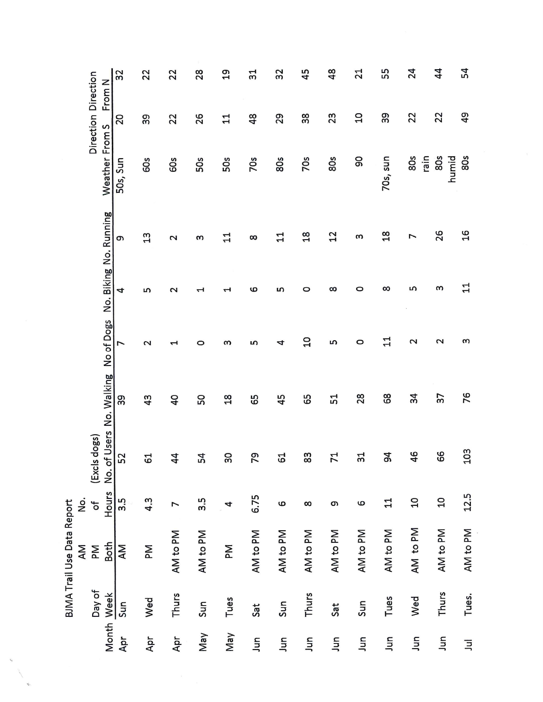|                                                             |                                             | 32             | 22             | 22                  | 28       | $\overline{a}$ | ದೆ            | 32                    | 45             | $\frac{8}{3}$ | $\overline{21}$       | 55            | 24                | $\overline{4}$  | 54             |
|-------------------------------------------------------------|---------------------------------------------|----------------|----------------|---------------------|----------|----------------|---------------|-----------------------|----------------|---------------|-----------------------|---------------|-------------------|-----------------|----------------|
|                                                             | Direction Direction<br>From N               | 20             | 39             | 22                  | 26       | $\mathbf{1}$   | $\frac{8}{3}$ | 29                    | 38             | 23            | $\overline{a}$        | 39            | 22                | 22              | $\overline{q}$ |
|                                                             | Weather From S                              | 50s, Sun       | 60s            | 60s                 | 50s      | 50s            | <b>70s</b>    | 80s                   | <b>70s</b>     | 80s           | 90                    | 70s, sun      | 80s<br>rain       | 80s<br>humid    | 80s            |
|                                                             |                                             | თ              | 13             | $\mathbf 2$         | w        | $\mathbf{1}$   | $\infty$      | 11                    | $\frac{8}{18}$ | $^{12}$       | ω                     | $\frac{8}{1}$ | 7                 | 26              | $\frac{1}{6}$  |
|                                                             | No of Dogs No. Biking No. Running           | 4              | w              | $\mathbf 2$         | ᅱ        | H              | ဖ             | w                     | O              | $\infty$      | O                     | $\infty$      | m                 | w               | $\mathbf{1}$   |
| .<br>2<br><b>BJMA Trail Use Data Report</b><br>$\mathsf{M}$ |                                             | $\overline{ }$ | $\mathbf 2$    | H                   | 0        | w              | w             | 4                     | $\overline{a}$ | S             | $\circ$               | 님             | $\mathbf{\Omega}$ | $\mathbf 2$     | m              |
|                                                             |                                             | 39             | 4 <sup>3</sup> | $\overline{a}$      | 50       | $\frac{8}{10}$ | 65            | 45                    | 65             | 54            | 28                    | 68            | $\frac{34}{3}$    | $\overline{37}$ | 76             |
|                                                             | No. of Users No. Walking<br>dogs)<br>(Excls | 52             | 61             | 4<br>ᠴ              | 54       | ႙              | 79            | 53                    | 83             | 71            | 54                    | $\frac{4}{5}$ | 46                | 89              | 103            |
|                                                             | Hours<br>$\mathfrak{b}$                     | 3.5            | 4.3            | $\overline{ }$      | 3.5      | 4              | 6.75          | $\boldsymbol{\omega}$ | $\infty$       | თ             | $\boldsymbol{\omega}$ | 11            | $\overline{a}$    | $\overline{c}$  | 12.5           |
|                                                             | <b>Both</b><br>Μ                            | AM             | Μ              | AM <sub>to PM</sub> | AM to PM | Μ              | AM to PM      | AM to PM              | AM to PM       | AM to PM      | AM to PM              | AM to PM      | AM to PM          | AM to PM        | AM to PM       |
|                                                             | Day of                                      | Sun            | Wed            | Thurs               | Sun      | Tues           | Sat           | Sun                   | Thurs          | Sat           | Sun                   | Tues          | Wed               | Thurs           | Tues.          |
|                                                             | Month Week                                  | Apr            | Apr            | Apr                 | Vay      | May            | Jun           | Jun                   | Jun            | $\Xi$         | اسر                   | $\Xi$         | <b>S</b>          | Jun             | $\overline{a}$ |

 $\zeta$